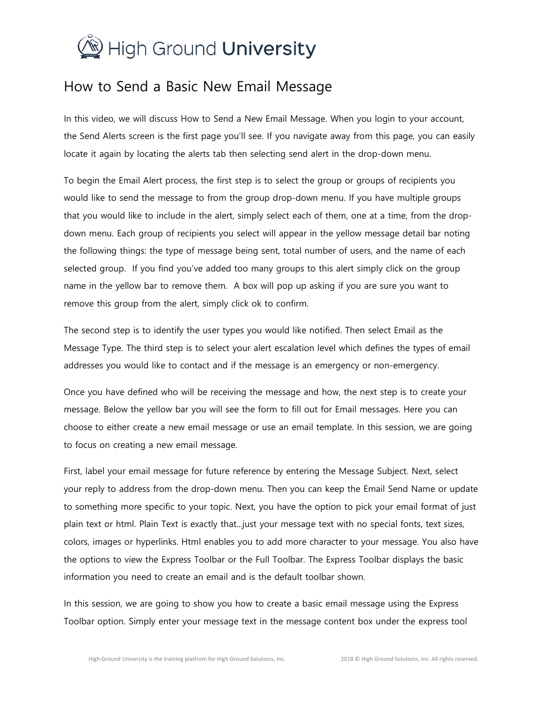

## How to Send a Basic New Email Message

In this video, we will discuss How to Send a New Email Message. When you login to your account, the Send Alerts screen is the first page you'll see. If you navigate away from this page, you can easily locate it again by locating the alerts tab then selecting send alert in the drop-down menu.

To begin the Email Alert process, the first step is to select the group or groups of recipients you would like to send the message to from the group drop-down menu. If you have multiple groups that you would like to include in the alert, simply select each of them, one at a time, from the dropdown menu. Each group of recipients you select will appear in the yellow message detail bar noting the following things: the type of message being sent, total number of users, and the name of each selected group. If you find you've added too many groups to this alert simply click on the group name in the yellow bar to remove them. A box will pop up asking if you are sure you want to remove this group from the alert, simply click ok to confirm.

The second step is to identify the user types you would like notified. Then select Email as the Message Type. The third step is to select your alert escalation level which defines the types of email addresses you would like to contact and if the message is an emergency or non-emergency.

Once you have defined who will be receiving the message and how, the next step is to create your message. Below the yellow bar you will see the form to fill out for Email messages. Here you can choose to either create a new email message or use an email template. In this session, we are going to focus on creating a new email message.

First, label your email message for future reference by entering the Message Subject. Next, select your reply to address from the drop-down menu. Then you can keep the Email Send Name or update to something more specific to your topic. Next, you have the option to pick your email format of just plain text or html. Plain Text is exactly that...just your message text with no special fonts, text sizes, colors, images or hyperlinks. Html enables you to add more character to your message. You also have the options to view the Express Toolbar or the Full Toolbar. The Express Toolbar displays the basic information you need to create an email and is the default toolbar shown.

In this session, we are going to show you how to create a basic email message using the Express Toolbar option. Simply enter your message text in the message content box under the express tool